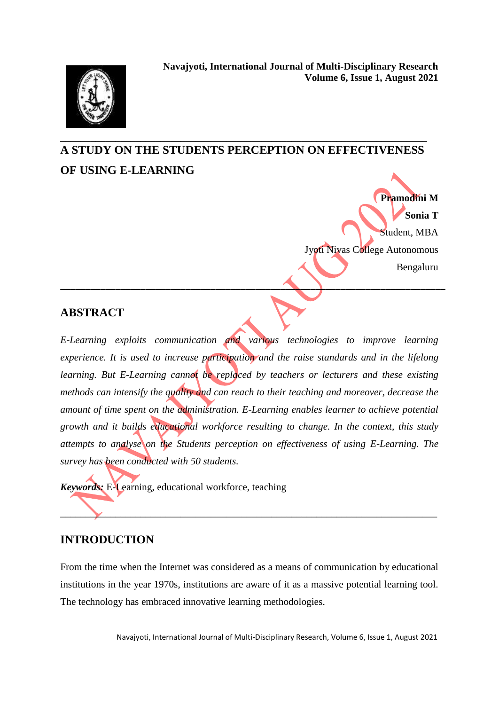## **\_\_\_\_\_\_\_\_\_\_\_\_\_\_\_\_\_\_\_\_\_\_\_\_\_\_\_\_\_\_\_\_\_\_\_\_\_\_\_\_\_\_\_\_\_\_\_\_\_\_\_\_\_\_\_\_\_\_\_\_\_\_\_\_\_\_\_\_\_\_\_\_\_ A STUDY ON THE STUDENTS PERCEPTION ON EFFECTIVENESS OF USING E-LEARNING**

**Pramodini M Sonia T** Student, MBA Jyoti Nivas College Autonomous Bengaluru

### **ABSTRACT**

*E-Learning exploits communication and various technologies to improve learning experience. It is used to increase participation and the raise standards and in the lifelong learning. But E-Learning cannot be replaced by teachers or lecturers and these existing methods can intensify the quality and can reach to their teaching and moreover, decrease the amount of time spent on the administration. E-Learning enables learner to achieve potential growth and it builds educational workforce resulting to change. In the context, this study attempts to analyse on the Students perception on effectiveness of using E-Learning. The survey has been conducted with 50 students.* 

**\_\_\_\_\_\_\_\_\_\_\_\_\_\_\_\_\_\_\_\_\_\_\_\_\_\_\_\_\_\_\_\_\_\_\_\_\_\_\_\_\_\_\_\_\_\_\_\_\_\_\_\_\_\_\_\_\_\_\_\_\_\_\_\_\_\_\_\_\_\_\_\_\_\_\_\_\_**

*Keywords:* E-Learning, educational workforce, teaching

### **INTRODUCTION**

From the time when the Internet was considered as a means of communication by educational institutions in the year 1970s, institutions are aware of it as a massive potential learning tool. The technology has embraced innovative learning methodologies.

\_\_\_\_\_\_\_\_\_\_\_\_\_\_\_\_\_\_\_\_\_\_\_\_\_\_\_\_\_\_\_\_\_\_\_\_\_\_\_\_\_\_\_\_\_\_\_\_\_\_\_\_\_\_\_\_\_\_\_\_\_\_\_\_\_\_\_\_\_\_\_\_\_\_\_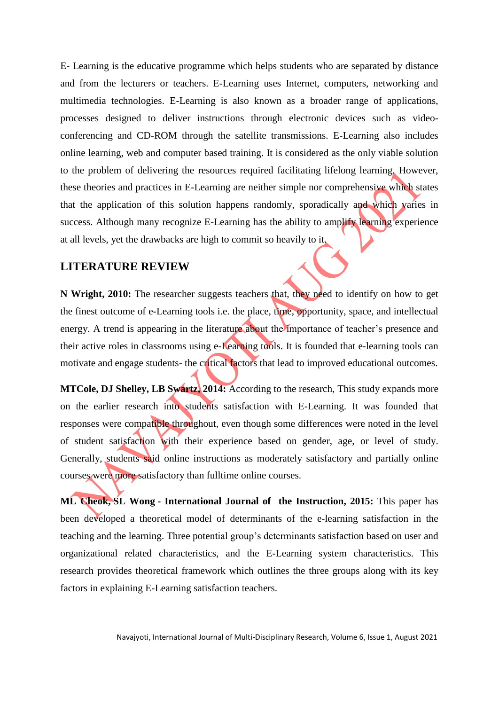E- Learning is the educative programme which helps students who are separated by distance and from the lecturers or teachers. E-Learning uses Internet, computers, networking and multimedia technologies. E-Learning is also known as a broader range of applications, processes designed to deliver instructions through electronic devices such as videoconferencing and CD-ROM through the satellite transmissions. E-Learning also includes online learning, web and computer based training. It is considered as the only viable solution to the problem of delivering the resources required facilitating lifelong learning. However, these theories and practices in E-Learning are neither simple nor comprehensive which states that the application of this solution happens randomly, sporadically and which varies in success. Although many recognize E-Learning has the ability to amplify learning experience at all levels, yet the drawbacks are high to commit so heavily to it.

### **LITERATURE REVIEW**

**N Wright, 2010:** The researcher suggests teachers that, they need to identify on how to get the finest outcome of e-Learning tools i.e. the place, time, opportunity, space, and intellectual energy. A trend is appearing in the literature about the importance of teacher's presence and their active roles in classrooms using e-Learning tools. It is founded that e-learning tools can motivate and engage students- the critical factors that lead to improved educational outcomes.

**[MTCole,](https://scholar.google.com/citations?user=PT7gJHkAAAAJ&hl=en&oi=sra) [DJ Shelley,](https://scholar.google.com/citations?user=YAUZnxwAAAAJ&hl=en&oi=sra) [LB Swartz,](https://scholar.google.com/citations?user=o-DhK4wAAAAJ&hl=en&oi=sra) 2014:** According to the research, This study expands more on the earlier research into students satisfaction with E-Learning. It was founded that responses were compatible throughout, even though some differences were noted in the level of student satisfaction with their experience based on gender, age, or level of study. Generally, students said online instructions as moderately satisfactory and partially online courses were more satisfactory than fulltime online courses.

**[ML Cheok,](https://scholar.google.com/citations?user=mRiN1UYAAAAJ&hl=en&oi=sra) [SL Wong](https://scholar.google.com/citations?user=hXFyaVYAAAAJ&hl=en&oi=sra) - International Journal of the Instruction, 2015:** This paper has been developed a theoretical model of determinants of the e-learning satisfaction in the teaching and the learning. Three potential group's determinants satisfaction based on user and organizational related characteristics, and the E-Learning system characteristics. This research provides theoretical framework which outlines the three groups along with its key factors in explaining E-Learning satisfaction teachers.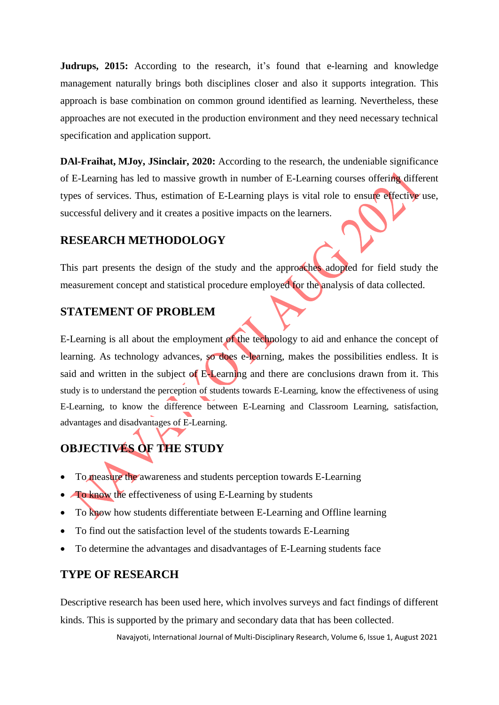**Judrups, 2015:** According to the research, it's found that e-learning and knowledge management naturally brings both disciplines closer and also it supports integration. This approach is base combination on common ground identified as learning. Nevertheless, these approaches are not executed in the production environment and they need necessary technical specification and application support.

**DAl-Fraihat, [MJoy,](https://scholar.google.com/citations?user=IOV57iUAAAAJ&hl=en&oi=sra) JSinclair, 2020:** According to the research, the undeniable significance of E-Learning has led to massive growth in number of E-Learning courses offering different types of services. Thus, estimation of E-Learning plays is vital role to ensure effective use, successful delivery and it creates a positive impacts on the learners.

### **RESEARCH METHODOLOGY**

This part presents the design of the study and the approaches adopted for field study the measurement concept and statistical procedure employed for the analysis of data collected.

### **STATEMENT OF PROBLEM**

E-Learning is all about the employment of the technology to aid and enhance the concept of learning. As technology advances, so does e-learning, makes the possibilities endless. It is said and written in the subject of E-Learning and there are conclusions drawn from it. This study is to understand the perception of students towards E-Learning, know the effectiveness of using E-Learning, to know the difference between E-Learning and Classroom Learning, satisfaction, advantages and disadvantages of E-Learning.

# **OBJECTIVES OF THE STUDY**

- To measure the awareness and students perception towards E-Learning
- To know the effectiveness of using E-Learning by students
- To know how students differentiate between E-Learning and Offline learning
- To find out the satisfaction level of the students towards E-Learning
- To determine the advantages and disadvantages of E-Learning students face

## **TYPE OF RESEARCH**

Descriptive research has been used here, which involves surveys and fact findings of different kinds. This is supported by the primary and secondary data that has been collected.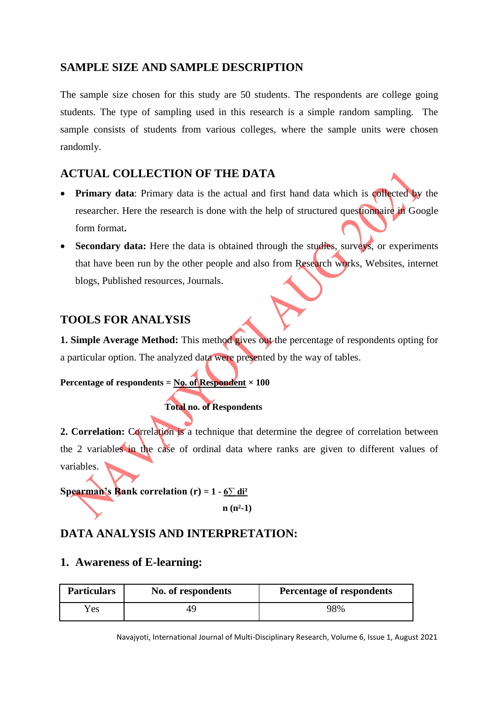### **SAMPLE SIZE AND SAMPLE DESCRIPTION**

The sample size chosen for this study are 50 students. The respondents are college going students. The type of sampling used in this research is a simple random sampling. The sample consists of students from various colleges, where the sample units were chosen randomly.

## **ACTUAL COLLECTION OF THE DATA**

- **Primary data**: Primary data is the actual and first hand data which is collected by the researcher. Here the research is done with the help of structured questionnaire in Google form format**.**
- **Secondary data:** Here the data is obtained through the studies, surveys, or experiments that have been run by the other people and also from Research works, Websites, internet blogs, Published resources, Journals.

## **TOOLS FOR ANALYSIS**

**1. Simple Average Method:** This method gives out the percentage of respondents opting for a particular option. The analyzed data were presented by the way of tables.

### **Percentage of respondents =**  $N_0$ **. of Respondent**  $\times 100$

 **Total no. of Respondents**

2. Correlation: Correlation is a technique that determine the degree of correlation between the 2 variables in the case of ordinal data where ranks are given to different values of variables.

**Spearman's Rank correlation (r) =**  $1 - 6\sum \text{di}^2$ 

 **n (n²-1)**

## **DATA ANALYSIS AND INTERPRETATION:**

### **1. Awareness of E-learning:**

| <b>Particulars</b> | No. of respondents | <b>Percentage of respondents</b> |
|--------------------|--------------------|----------------------------------|
| Yes                |                    | 98%                              |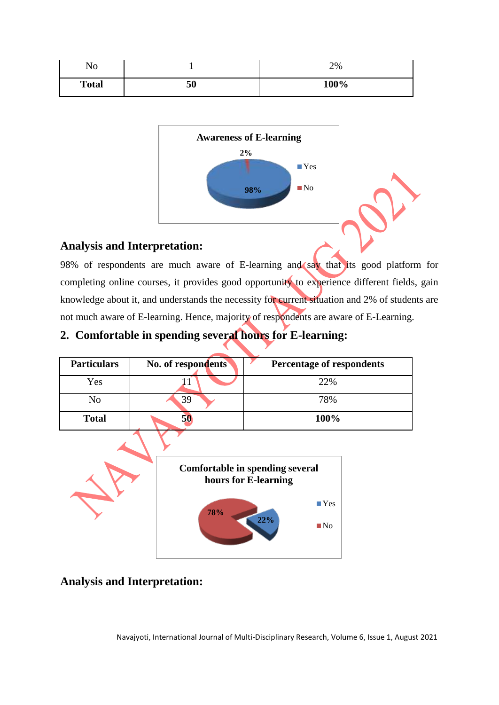| ٦T<br>$\sim$<br>180 |    | 2%   |
|---------------------|----|------|
| <b>Total</b>        | 50 | 100% |



98% of respondents are much aware of E-learning and say that its good platform for completing online courses, it provides good opportunity to experience different fields, gain knowledge about it, and understands the necessity for current situation and 2% of students are not much aware of E-learning. Hence, majority of respondents are aware of E-Learning.

# **2. Comfortable in spending several hours for E-learning:**

| <b>Particulars</b> | No. of respondents | <b>Percentage of respondents</b>                        |  |
|--------------------|--------------------|---------------------------------------------------------|--|
| Yes                |                    | 22%                                                     |  |
| N <sub>o</sub>     | 39                 | 78%                                                     |  |
| <b>Total</b>       | 50                 | 100%                                                    |  |
|                    |                    | Comfortable in spending several<br>hours for E-learning |  |

**78%**



**22%**

■Yes

**■No**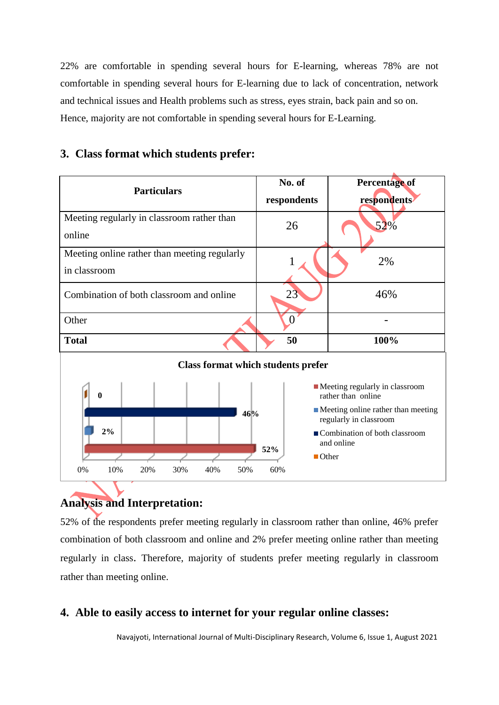22% are comfortable in spending several hours for E-learning, whereas 78% are not comfortable in spending several hours for E-learning due to lack of concentration, network and technical issues and Health problems such as stress, eyes strain, back pain and so on. Hence, majority are not comfortable in spending several hours for E-Learning.

| <b>Particulars</b>                                                                                                                                                                                                                                                                                              | No. of<br>respondents | <b>Percentage of</b><br>respondents |  |
|-----------------------------------------------------------------------------------------------------------------------------------------------------------------------------------------------------------------------------------------------------------------------------------------------------------------|-----------------------|-------------------------------------|--|
| Meeting regularly in classroom rather than<br>online                                                                                                                                                                                                                                                            | 26                    | 52%                                 |  |
| Meeting online rather than meeting regularly<br>in classroom                                                                                                                                                                                                                                                    |                       | 2%                                  |  |
| Combination of both classroom and online                                                                                                                                                                                                                                                                        | 23                    | 46%                                 |  |
| Other                                                                                                                                                                                                                                                                                                           | $\Omega$              |                                     |  |
| <b>Total</b>                                                                                                                                                                                                                                                                                                    | 50                    | 100%                                |  |
| <b>Class format which students prefer</b>                                                                                                                                                                                                                                                                       |                       |                                     |  |
| $\blacksquare$ Meeting regularly in classroom<br>rather than online<br>$\mathbf{0}$<br>$\blacksquare$ Meeting online rather than meeting<br>46%<br>regularly in classroom<br>2%<br>■ Combination of both classroom<br>and online<br>52%<br>$\blacksquare$ Other<br>0%<br>10%<br>20%<br>50%<br>60%<br>30%<br>40% |                       |                                     |  |

### **3. Class format which students prefer:**

# **Analysis and Interpretation:**

52% of the respondents prefer meeting regularly in classroom rather than online, 46% prefer combination of both classroom and online and 2% prefer meeting online rather than meeting regularly in class. Therefore, majority of students prefer meeting regularly in classroom rather than meeting online.

## **4. Able to easily access to internet for your regular online classes:**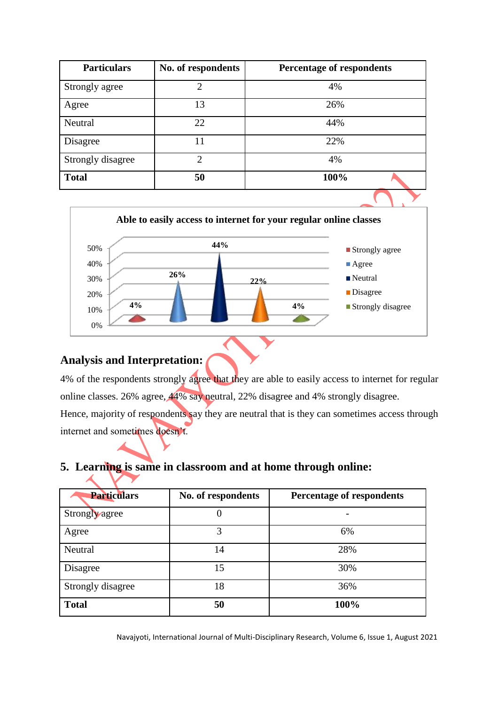| <b>Particulars</b> | No. of respondents | <b>Percentage of respondents</b> |
|--------------------|--------------------|----------------------------------|
| Strongly agree     | $\overline{2}$     | 4%                               |
| Agree              | 13                 | 26%                              |
| Neutral            | 22                 | 44%                              |
| Disagree           | 11                 | 22%                              |
| Strongly disagree  | $\overline{2}$     | 4%                               |
| <b>Total</b>       | 50                 | 100%                             |
|                    |                    |                                  |



4% of the respondents strongly agree that they are able to easily access to internet for regular online classes. 26% agree, 44% say neutral, 22% disagree and 4% strongly disagree. Hence, majority of respondents say they are neutral that is they can sometimes access through internet and sometimes doesn't.

## **5. Learning is same in classroom and at home through online:**

| <b>Particulars</b> | No. of respondents | <b>Percentage of respondents</b> |
|--------------------|--------------------|----------------------------------|
| Strongly agree     |                    |                                  |
| Agree              | 3                  | 6%                               |
| Neutral            | 14                 | 28%                              |
| Disagree           | 15                 | 30%                              |
| Strongly disagree  | 18                 | 36%                              |
| <b>Total</b>       | 50                 | 100%                             |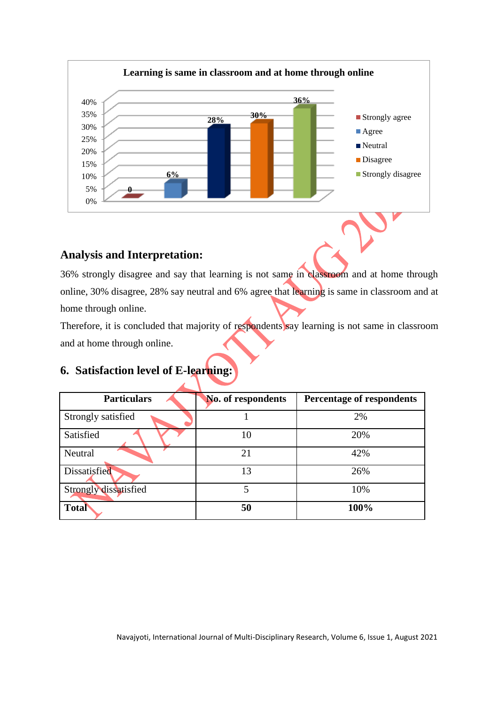

36% strongly disagree and say that learning is not same in classroom and at home through online, 30% disagree, 28% say neutral and 6% agree that learning is same in classroom and at home through online.

Therefore, it is concluded that majority of respondents say learning is not same in classroom and at home through online.

### **6. Satisfaction level of E-learning:**

 $\overline{\mathbf{A}}$ 

| <b>Particulars</b>    | <b>No. of respondents</b> | <b>Percentage of respondents</b> |
|-----------------------|---------------------------|----------------------------------|
| Strongly satisfied    |                           | 2%                               |
| Satisfied             | 10                        | 20%                              |
| Neutral               | 21                        | 42%                              |
| Dissatisfied          | 13                        | 26%                              |
| Strongly dissatisfied |                           | 10%                              |
| <b>Total</b>          | 50                        | 100%                             |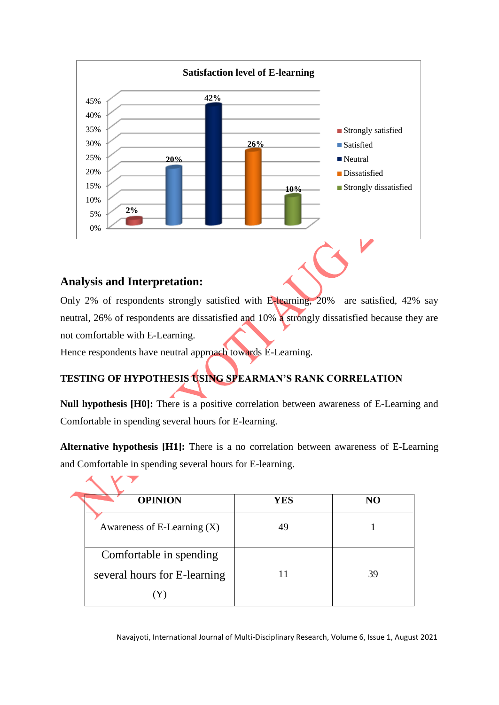

Only 2% of respondents strongly satisfied with E-learning, 20% are satisfied, 42% say neutral, 26% of respondents are dissatisfied and 10% a strongly dissatisfied because they are not comfortable with E-Learning.

Hence respondents have neutral approach towards E-Learning.

# **TESTING OF HYPOTHESIS USING SPEARMAN'S RANK CORRELATION**

**Null hypothesis [H0]:** There is a positive correlation between awareness of E-Learning and Comfortable in spending several hours for E-learning.

**Alternative hypothesis [H1]:** There is a no correlation between awareness of E-Learning and Comfortable in spending several hours for E-learning.

| <b>OPINION</b>                | <b>YES</b> | NO |
|-------------------------------|------------|----|
| Awareness of E-Learning $(X)$ | 49         |    |
| Comfortable in spending       |            |    |
| several hours for E-learning  |            | 39 |
|                               |            |    |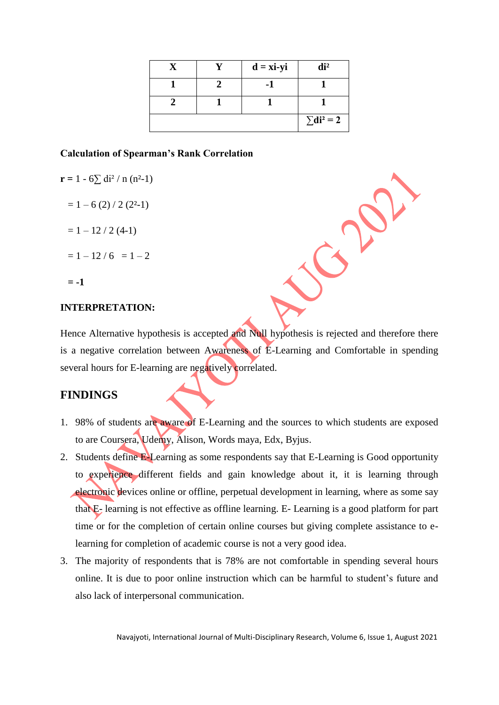|  | $d = x\mathbf{i} - y\mathbf{i}$ | di <sup>2</sup>   |
|--|---------------------------------|-------------------|
|  |                                 |                   |
|  |                                 |                   |
|  |                                 | $\Sigma di^2 = 2$ |

#### **Calculation of Spearman's Rank Correlation**

$$
r = 1 - 6 \sum di^2 / n (n^2-1)
$$

$$
= 1 - 6 (2) / 2 (22-1)
$$

 $= 1 - 12 / 2 (4-1)$ 

$$
= 1 - 12 / 6 = 1 - 2
$$

**= -1**

#### **INTERPRETATION:**

Hence Alternative hypothesis is accepted and Null hypothesis is rejected and therefore there is a negative correlation between Awareness of E-Learning and Comfortable in spending several hours for E-learning are negatively correlated.

### **FINDINGS**

- 1. 98% of students are aware of E-Learning and the sources to which students are exposed to are Coursera, Udemy, Alison, Words maya, Edx, Byjus.
- 2. Students define E-Learning as some respondents say that E-Learning is Good opportunity to experience different fields and gain knowledge about it, it is learning through electronic devices online or offline, perpetual development in learning, where as some say that E- learning is not effective as offline learning. E- Learning is a good platform for part time or for the completion of certain online courses but giving complete assistance to elearning for completion of academic course is not a very good idea.
- 3. The majority of respondents that is 78% are not comfortable in spending several hours online. It is due to poor online instruction which can be harmful to student's future and also lack of interpersonal communication.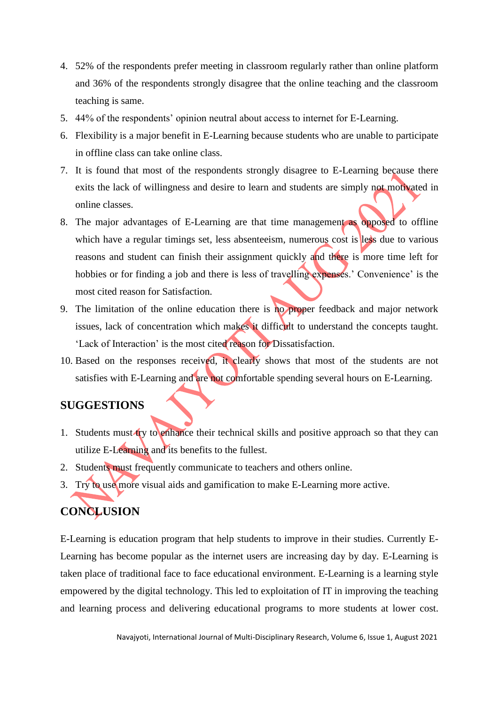- 4. 52% of the respondents prefer meeting in classroom regularly rather than online platform and 36% of the respondents strongly disagree that the online teaching and the classroom teaching is same.
- 5. 44% of the respondents' opinion neutral about access to internet for E-Learning.
- 6. Flexibility is a major benefit in E-Learning because students who are unable to participate in offline class can take online class.
- 7. It is found that most of the respondents strongly disagree to E-Learning because there exits the lack of willingness and desire to learn and students are simply not motivated in online classes.
- 8. The major advantages of E-Learning are that time management as opposed to offline which have a regular timings set, less absenteeism, numerous cost is less due to various reasons and student can finish their assignment quickly and there is more time left for hobbies or for finding a job and there is less of travelling expenses.' Convenience' is the most cited reason for Satisfaction.
- 9. The limitation of the online education there is no proper feedback and major network issues, lack of concentration which makes it difficult to understand the concepts taught. 'Lack of Interaction' is the most cited reason for Dissatisfaction.
- 10. Based on the responses received, it clearly shows that most of the students are not satisfies with E-Learning and are not comfortable spending several hours on E-Learning.

### **SUGGESTIONS**

- 1. Students must try to enhance their technical skills and positive approach so that they can utilize E-Learning and its benefits to the fullest.
- 2. Students must frequently communicate to teachers and others online.
- 3. Try to use more visual aids and gamification to make E-Learning more active.

# **CONCLUSION**

E-Learning is education program that help students to improve in their studies. Currently E-Learning has become popular as the internet users are increasing day by day. E-Learning is taken place of traditional face to face educational environment. E-Learning is a learning style empowered by the digital technology. This led to exploitation of IT in improving the teaching and learning process and delivering educational programs to more students at lower cost.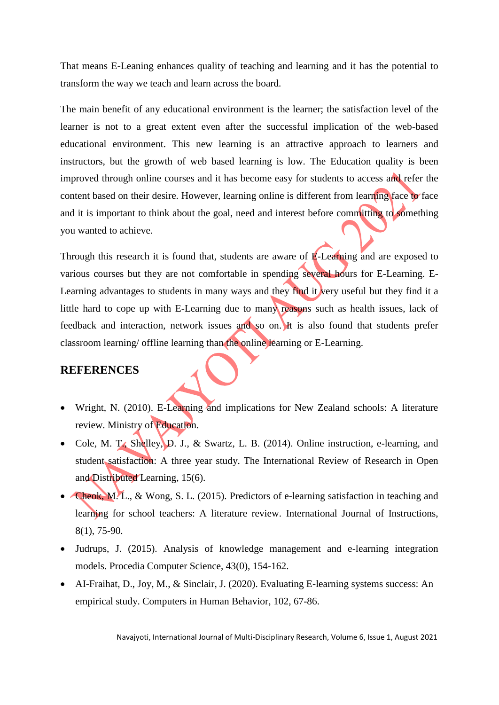That means E-Leaning enhances quality of teaching and learning and it has the potential to transform the way we teach and learn across the board.

The main benefit of any educational environment is the learner; the satisfaction level of the learner is not to a great extent even after the successful implication of the web-based educational environment. This new learning is an attractive approach to learners and instructors, but the growth of web based learning is low. The Education quality is been improved through online courses and it has become easy for students to access and refer the content based on their desire. However, learning online is different from learning face to face and it is important to think about the goal, need and interest before committing to something you wanted to achieve.

Through this research it is found that, students are aware of **E**-Learning and are exposed to various courses but they are not comfortable in spending several hours for E-Learning. E-Learning advantages to students in many ways and they find it very useful but they find it a little hard to cope up with E-Learning due to many reasons such as health issues, lack of feedback and interaction, network issues and so on. It is also found that students prefer classroom learning/ offline learning than the online learning or E-Learning.

### **REFERENCES**

- Wright, N. (2010). E-Learning and implications for New Zealand schools: A literature review. Ministry of Education.
- Cole, M. T., Shelley, D. J., & Swartz, L. B. (2014). Online instruction, e-learning, and student satisfaction: A three year study. The International Review of Research in Open and Distributed Learning, 15(6).
- Cheok, M. L., & Wong, S. L. (2015). Predictors of e-learning satisfaction in teaching and learning for school teachers: A literature review. International Journal of Instructions, 8(1), 75-90.
- Judrups, J. (2015). Analysis of knowledge management and e-learning integration models. Procedia Computer Science, 43(0), 154-162.
- AI-Fraihat, D., Joy, M., & Sinclair, J. (2020). Evaluating E-learning systems success: An empirical study. Computers in Human Behavior, 102, 67-86.